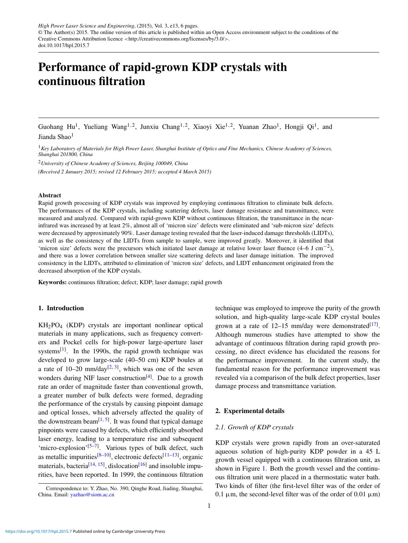# Performance of rapid-grown KDP crystals with continuous filtration

Guohang Hu<sup>1</sup>, Yueliang Wang<sup>1,2</sup>, Junxiu Chang<sup>1,2</sup>, Xiaoyi Xie<sup>1,2</sup>, Yuanan Zhao<sup>1</sup>, Hongji Qi<sup>1</sup>, and Jianda Shao<sup>1</sup>

<sup>1</sup>*Key Laboratory of Materials for High Power Laser, Shanghai Institute of Optics and Fine Mechanics, Chinese Academy of Sciences, Shanghai 201800, China*

<sup>2</sup>*University of Chinese Academy of Sciences, Beijing 100049, China*

*(Received 2 January 2015; revised 12 February 2015; accepted 4 March 2015)*

## Abstract

Rapid growth processing of KDP crystals was improved by employing continuous filtration to eliminate bulk defects. The performances of the KDP crystals, including scattering defects, laser damage resistance and transmittance, were measured and analyzed. Compared with rapid-grown KDP without continuous filtration, the transmittance in the nearinfrared was increased by at least 2%, almost all of 'micron size' defects were eliminated and 'sub-micron size' defects were decreased by approximately 90%. Laser damage testing revealed that the laser-induced damage thresholds (LIDTs), as well as the consistency of the LIDTs from sample to sample, were improved greatly. Moreover, it identified that 'micron size' defects were the precursors which initiated laser damage at relative lower laser fluence (4–6 J cm<sup>-2</sup>), and there was a lower correlation between smaller size scattering defects and laser damage initiation. The improved consistency in the LIDTs, attributed to elimination of 'micron size' defects, and LIDT enhancement originated from the decreased absorption of the KDP crystals.

Keywords: continuous filtration; defect; KDP; laser damage; rapid growth

# 1. Introduction

KH2PO4 (KDP) crystals are important nonlinear optical materials in many applications, such as frequency converters and Pockel cells for high-power large-aperture laser systems $^{[1]}$ . In the 1990s, the rapid growth technique was developed to grow large-scale (40–50 cm) KDP boules at a rate of 10–20 mm/day<sup>[2, 3]</sup>, which was one of the seven wonders during NIF laser construction<sup>[4]</sup>. Due to a growth rate an order of magnitude faster than conventional growth, a greater number of bulk defects were formed, degrading the performance of the crystals by causing pinpoint damage and optical losses, which adversely affected the quality of the downstream beam<sup>[1, 5]</sup>. It was found that typical damage pinpoints were caused by defects, which efficiently absorbed laser energy, leading to a temperature rise and subsequent 'micro-explosion'<sup>[5-7]</sup>. Various types of bulk defect, such as metallic impurities<sup>[8-10]</sup>, electronic defects<sup>[11-13]</sup>, organic materials, bacteria<sup>[14, 15]</sup>, dislocation<sup>[16]</sup> and insoluble impurities, have been reported. In 1999, the continuous filtration technique was employed to improve the purity of the growth solution, and high-quality large-scale KDP crystal boules grown at a rate of 12–15 mm/day were demonstrated $[17]$ . Although numerous studies have attempted to show the advantage of continuous filtration during rapid growth processing, no direct evidence has elucidated the reasons for the performance improvement. In the current study, the fundamental reason for the performance improvement was revealed via a comparison of the bulk defect properties, laser damage process and transmittance variation.

#### 2. Experimental details

#### *2.1. Growth of KDP crystals*

KDP crystals were grown rapidly from an over-saturated aqueous solution of high-purity KDP powder in a 45 L growth vessel equipped with a continuous filtration unit, as shown in Figure 1. Both the growth vessel and the continuous filtration unit were placed in a thermostatic water bath. Two kinds of filter (the first-level filter was of the order of 0.1  $\mu$ m, the second-level filter was of the order of 0.01  $\mu$ m)

Correspondence to: Y. Zhao, No. 390, Qinghe Road, Jiading, Shanghai, China. Email: yazhao@siom.ac.cn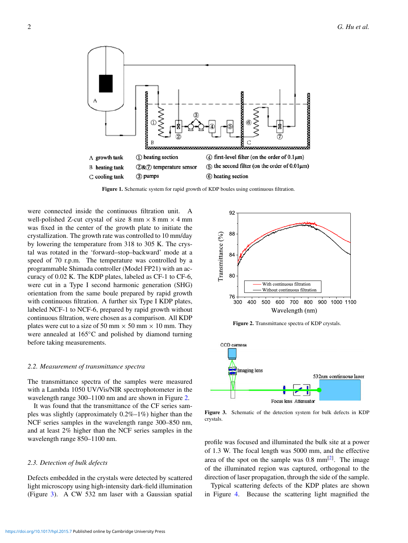

Figure 1. Schematic system for rapid growth of KDP boules using continuous filtration.

were connected inside the continuous filtration unit. A well-polished Z-cut crystal of size 8 mm  $\times$  8 mm  $\times$  4 mm was fixed in the center of the growth plate to initiate the crystallization. The growth rate was controlled to 10 mm/day by lowering the temperature from 318 to 305 K. The crystal was rotated in the 'forward–stop–backward' mode at a speed of 70 r.p.m. The temperature was controlled by a programmable Shimada controller (Model FP21) with an accuracy of 0.02 K. The KDP plates, labeled as CF-1 to CF-6, were cut in a Type I second harmonic generation (SHG) orientation from the same boule prepared by rapid growth with continuous filtration. A further six Type I KDP plates, labeled NCF-1 to NCF-6, prepared by rapid growth without continuous filtration, were chosen as a comparison. All KDP plates were cut to a size of 50 mm  $\times$  50 mm  $\times$  10 mm. They were annealed at 165◦C and polished by diamond turning before taking measurements.

#### *2.2. Measurement of transmittance spectra*

The transmittance spectra of the samples were measured with a Lambda 1050 UV/Vis/NIR spectrophotometer in the wavelength range 300–1100 nm and are shown in Figure 2.

It was found that the transmittance of the CF series samples was slightly (approximately 0.2%–1%) higher than the NCF series samples in the wavelength range 300–850 nm, and at least 2% higher than the NCF series samples in the wavelength range 850–1100 nm.

# *2.3. Detection of bulk defects*

Defects embedded in the crystals were detected by scattered light microscopy using high-intensity dark-field illumination (Figure 3). A CW 532 nm laser with a Gaussian spatial



Figure 2. Transmittance spectra of KDP crystals.



Figure 3. Schematic of the detection system for bulk defects in KDP crystals.

profile was focused and illuminated the bulk site at a power of 1.3 W. The focal length was 5000 mm, and the effective area of the spot on the sample was  $0.8 \text{ mm}^{[2]}$ . The image of the illuminated region was captured, orthogonal to the direction of laser propagation, through the side of the sample.

Typical scattering defects of the KDP plates are shown in Figure 4. Because the scattering light magnified the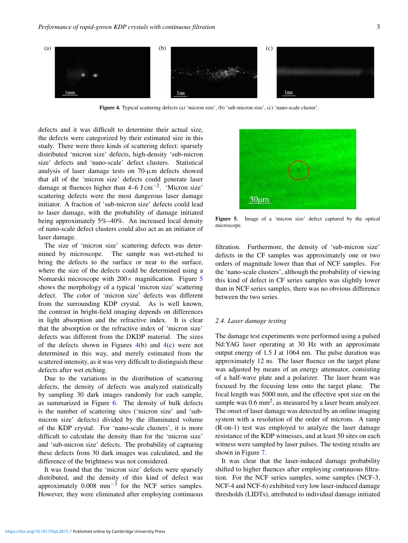

Figure 4. Typical scattering defects (a) 'micron size', (b) 'sub-micron size', (c) 'nano-scale cluster'.

defects and it was difficult to determine their actual size, the defects were categorized by their estimated size in this study. There were three kinds of scattering defect: sparsely distributed 'micron size' defects, high-density 'sub-micron size' defects and 'nano-scale' defect clusters. Statistical analysis of laser damage tests on 70-μm defects showed that all of the 'micron size' defects could generate laser damage at fluences higher than 4–6 J cm−2. 'Micron size' scattering defects were the most dangerous laser damage initiator. A fraction of 'sub-micron size' defects could lead to laser damage, with the probability of damage initiated being approximately 5%–40%. An increased local density of nano-scale defect clusters could also act as an initiator of laser damage.

The size of 'micron size' scattering defects was determined by microscope. The sample was wet-etched to bring the defects to the surface or near to the surface, where the size of the defects could be determined using a Nomarski microscope with  $200 \times$  magnification. Figure 5 shows the morphology of a typical 'micron size' scattering defect. The color of 'micron size' defects was different from the surrounding KDP crystal. As is well known, the contrast in bright-field imaging depends on differences in light absorption and the refractive index. It is clear that the absorption or the refractive index of 'micron size' defects was different from the DKDP material. The sizes of the defects shown in Figures  $4(b)$  and  $4(c)$  were not determined in this way, and merely estimated from the scattered intensity, as it was very difficult to distinguish these defects after wet etching.

Due to the variations in the distribution of scattering defects, the density of defects was analyzed statistically by sampling 30 dark images randomly for each sample, as summarized in Figure 6. The density of bulk defects is the number of scattering sites ('micron size' and 'submicron size' defects) divided by the illuminated volume of the KDP crystal. For 'nano-scale clusters', it is more difficult to calculate the density than for the 'micron size' and 'sub-micron size' defects. The probability of capturing these defects from 30 dark images was calculated, and the difference of the brightness was not considered.

It was found that the 'micron size' defects were sparsely distributed, and the density of this kind of defect was approximately 0.008 mm−<sup>3</sup> for the NCF series samples. However, they were eliminated after employing continuous



Figure 5. Image of a 'micron size' defect captured by the optical microscope.

filtration. Furthermore, the density of 'sub-micron size' defects in the CF samples was approximately one or two orders of magnitude lower than that of NCF samples. For the 'nano-scale clusters', although the probability of viewing this kind of defect in CF series samples was slightly lower than in NCF series samples, there was no obvious difference between the two series.

#### *2.4. Laser damage testing*

The damage test experiments were performed using a pulsed Nd:YAG laser operating at 30 Hz with an approximate output energy of 1.5 J at 1064 nm. The pulse duration was approximately 12 ns. The laser fluence on the target plane was adjusted by means of an energy attenuator, consisting of a half-wave plate and a polarizer. The laser beam was focused by the focusing lens onto the target plane. The focal length was 5000 mm, and the effective spot size on the sample was  $0.6 \text{ mm}^2$ , as measured by a laser beam analyzer. The onset of laser damage was detected by an online imaging system with a resolution of the order of microns. A ramp (R-on-1) test was employed to analyze the laser damage resistance of the KDP witnesses, and at least 50 sites on each witness were sampled by laser pulses. The testing results are shown in Figure 7.

It was clear that the laser-induced damage probability shifted to higher fluences after employing continuous filtration. For the NCF series samples, some samples (NCF-3, NCF-4 and NCF-6) exhibited very low laser-induced damage thresholds (LIDTs), attributed to individual damage initiated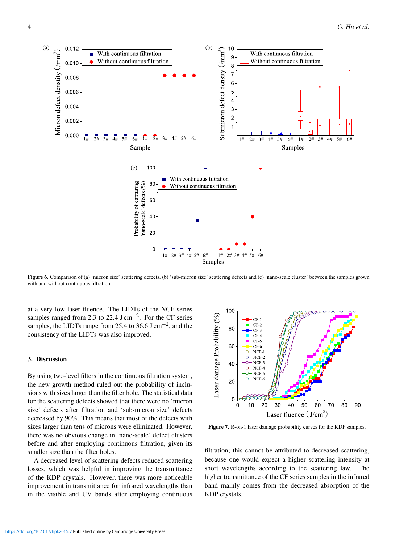

Figure 6. Comparison of (a) 'micron size' scattering defects, (b) 'sub-micron size' scattering defects and (c) 'nano-scale cluster' between the samples grown with and without continuous filtration.

at a very low laser fluence. The LIDTs of the NCF series samples ranged from 2.3 to 22.4  $J \text{ cm}^{-2}$ . For the CF series samples, the LIDTs range from 25.4 to 36.6 J cm<sup>-2</sup>, and the consistency of the LIDTs was also improved.

# 3. Discussion

By using two-level filters in the continuous filtration system, the new growth method ruled out the probability of inclusions with sizes larger than the filter hole. The statistical data for the scattering defects showed that there were no 'micron size' defects after filtration and 'sub-micron size' defects decreased by 90%. This means that most of the defects with sizes larger than tens of microns were eliminated. However, there was no obvious change in 'nano-scale' defect clusters before and after employing continuous filtration, given its smaller size than the filter holes.

A decreased level of scattering defects reduced scattering losses, which was helpful in improving the transmittance of the KDP crystals. However, there was more noticeable improvement in transmittance for infrared wavelengths than in the visible and UV bands after employing continuous



Figure 7. R-on-1 laser damage probability curves for the KDP samples.

filtration; this cannot be attributed to decreased scattering, because one would expect a higher scattering intensity at short wavelengths according to the scattering law. The higher transmittance of the CF series samples in the infrared band mainly comes from the decreased absorption of the KDP crystals.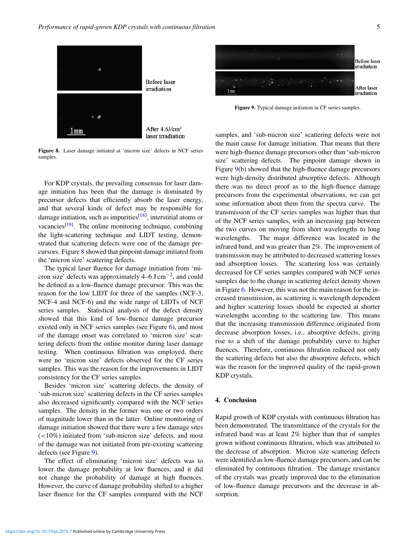

Figure 8. Laser damage initiated at 'micron size' defects in NCF series samples.

For KDP crystals, the prevailing consensus for laser damage initiation has been that the damage is dominated by precursor defects that efficiently absorb the laser energy, and that several kinds of defect may be responsible for damage initiation, such as impurities<sup>[18]</sup>, interstitial atoms or vacancies<sup>[19]</sup>. The online monitoring technique, combining the light-scattering technique and LIDT testing, demonstrated that scattering defects were one of the damage precursors. Figure 8 showed that pinpoint damage initiated from the 'micron size' scattering defects.

The typical laser fluence for damage initiation from 'micron size' defects was approximately  $4-6$  J cm<sup>-2</sup>, and could be defined as a low-fluence damage precursor. This was the reason for the low LIDT for three of the samples (NCF-3, NCF-4 and NCF-6) and the wide range of LIDTs of NCF series samples. Statistical analysis of the defect density showed that this kind of low-fluence damage precursor existed only in NCF series samples (see Figure 6), and most of the damage onset was correlated to 'micron size' scattering defects from the online monitor during laser damage testing. When continuous filtration was employed, there were no 'micron size' defects observed for the CF series samples. This was the reason for the improvements in LIDT consistency for the CF series samples.

Besides 'micron size' scattering defects, the density of 'sub-micron size' scattering defects in the CF series samples also decreased significantly compared with the NCF series samples. The density in the former was one or two orders of magnitude lower than in the latter. Online monitoring of damage initiation showed that there were a few damage sites  $\left($  <10%) initiated from 'sub-micron size' defects, and most of the damage was not initiated from pre-existing scattering defects (see Figure 9).

The effect of eliminating 'micron size' defects was to lower the damage probability at low fluences, and it did not change the probability of damage at high fluences. However, the curve of damage probability shifted to a higher laser fluence for the CF samples compared with the NCF



Figure 9. Typical damage initiation in CF series samples.

samples, and 'sub-micron size' scattering defects were not the main cause for damage initiation. That means that there were high-fluence damage precursors other than 'sub-micron size' scattering defects. The pinpoint damage shown in Figure 9(b) showed that the high-fluence damage precursors were high-density distributed absorptive defects. Although there was no direct proof as to the high-fluence damage precursors from the experimental observations, we can get some information about them from the spectra curve. The transmission of the CF series samples was higher than that of the NCF series samples, with an increasing gap between the two curves on moving from short wavelengths to long wavelengths. The major difference was located in the infrared band, and was greater than 2%. The improvement of transmission may be attributed to decreased scattering losses and absorption losses. The scattering loss was certainly decreased for CF series samples compared with NCF series samples due to the change in scattering defect density shown in Figure 6. However, this was not the main reason for the increased transmission, as scattering is wavelength dependent and higher scattering losses should be expected at shorter wavelengths according to the scattering law. This means that the increasing transmission difference originated from decrease absorption losses, i.e., absorptive defects, giving rise to a shift of the damage probability curve to higher fluences. Therefore, continuous filtration reduced not only the scattering defects but also the absorptive defects, which was the reason for the improved quality of the rapid-grown KDP crystals.

# 4. Conclusion

Rapid growth of KDP crystals with continuous filtration has been demonstrated. The transmittance of the crystals for the infrared band was at least 2% higher than that of samples grown without continuous filtration, which was attributed to the decrease of absorption. Micron size scattering defects were identified as low-fluence damage precursors, and can be eliminated by continuous filtration. The damage resistance of the crystals was greatly improved due to the elimination of low-fluence damage precursors and the decrease in absorption.